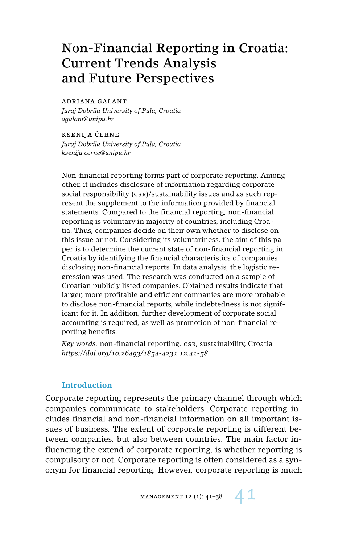# Non-Financial Reporting in Croatia: Current Trends Analysis and Future Perspectives

#### adriana galant

*Juraj Dobrila University of Pula, Croatia agalant@unipu.hr*

**KSENIJA ČERNE** *Juraj Dobrila University of Pula, Croatia ksenija.cerne@unipu.hr*

Non-financial reporting forms part of corporate reporting. Among other, it includes disclosure of information regarding corporate social responsibility (csr)/sustainability issues and as such represent the supplement to the information provided by financial statements. Compared to the financial reporting, non-financial reporting is voluntary in majority of countries, including Croatia. Thus, companies decide on their own whether to disclose on this issue or not. Considering its voluntariness, the aim of this paper is to determine the current state of non-financial reporting in Croatia by identifying the financial characteristics of companies disclosing non-financial reports. In data analysis, the logistic regression was used. The research was conducted on a sample of Croatian publicly listed companies. Obtained results indicate that larger, more profitable and efficient companies are more probable to disclose non-financial reports, while indebtedness is not significant for it. In addition, further development of corporate social accounting is required, as well as promotion of non-financial reporting benefits.

*Key words:* non-financial reporting, csr, sustainability, Croatia *https://doi.org/10.26493/1854-4231.12.41-58*

## **Introduction**

Corporate reporting represents the primary channel through which companies communicate to stakeholders. Corporate reporting includes financial and non-financial information on all important issues of business. The extent of corporate reporting is different between companies, but also between countries. The main factor influencing the extend of corporate reporting, is whether reporting is compulsory or not. Corporate reporting is often considered as a synonym for financial reporting. However, corporate reporting is much

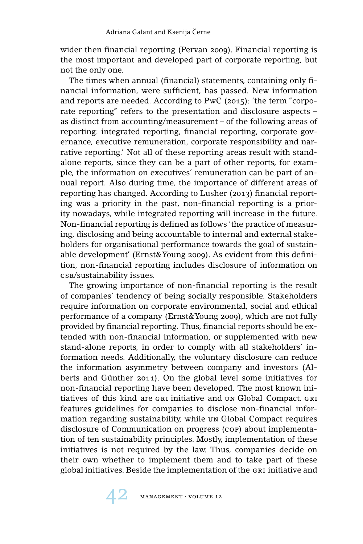wider then financial reporting (Pervan 2009). Financial reporting is the most important and developed part of corporate reporting, but not the only one.

The times when annual (financial) statements, containing only financial information, were sufficient, has passed. New information and reports are needed. According to PwC (2015): 'the term "corporate reporting" refers to the presentation and disclosure aspects – as distinct from accounting/measurement – of the following areas of reporting: integrated reporting, financial reporting, corporate governance, executive remuneration, corporate responsibility and narrative reporting.' Not all of these reporting areas result with standalone reports, since they can be a part of other reports, for example, the information on executives' remuneration can be part of annual report. Also during time, the importance of different areas of reporting has changed. According to Lusher (2013) financial reporting was a priority in the past, non-financial reporting is a priority nowadays, while integrated reporting will increase in the future. Non-financial reporting is defined as follows 'the practice of measuring, disclosing and being accountable to internal and external stakeholders for organisational performance towards the goal of sustainable development' (Ernst&Young 2009). As evident from this definition, non-financial reporting includes disclosure of information on csr/sustainability issues.

The growing importance of non-financial reporting is the result of companies' tendency of being socially responsible. Stakeholders require information on corporate environmental, social and ethical performance of a company (Ernst&Young 2009), which are not fully provided by financial reporting. Thus, financial reports should be extended with non-financial information, or supplemented with new stand-alone reports, in order to comply with all stakeholders' information needs. Additionally, the voluntary disclosure can reduce the information asymmetry between company and investors (Alberts and Günther 2011). On the global level some initiatives for non-financial reporting have been developed. The most known initiatives of this kind are gri initiative and un Global Compact. gri features guidelines for companies to disclose non-financial information regarding sustainability, while un Global Compact requires disclosure of Communication on progress (cop) about implementation of ten sustainability principles. Mostly, implementation of these initiatives is not required by the law. Thus, companies decide on their own whether to implement them and to take part of these global initiatives. Beside the implementation of the GRI initiative and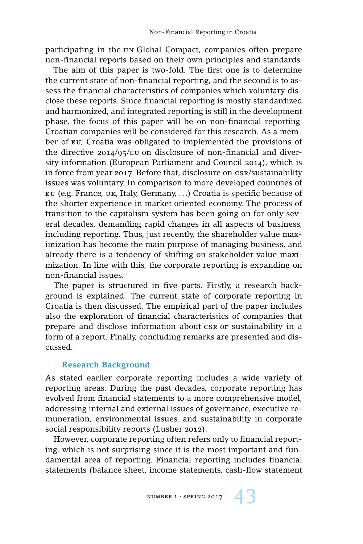participating in the un Global Compact, companies often prepare non-financial reports based on their own principles and standards.

The aim of this paper is two-fold. The first one is to determine the current state of non-financial reporting, and the second is to assess the financial characteristics of companies which voluntary disclose these reports. Since financial reporting is mostly standardized and harmonized, and integrated reporting is still in the development phase, the focus of this paper will be on non-financial reporting. Croatian companies will be considered for this research. As a member of eu, Croatia was obligated to implemented the provisions of the directive 2014/95/eu on disclosure of non-financial and diversity information (European Parliament and Council 2014), which is in force from year 2017. Before that, disclosure on csr/sustainability issues was voluntary. In comparison to more developed countries of eu (e.g. France, uk, Italy, Germany, . . .) Croatia is specific because of the shorter experience in market oriented economy. The process of transition to the capitalism system has been going on for only several decades, demanding rapid changes in all aspects of business, including reporting. Thus, just recently, the shareholder value maximization has become the main purpose of managing business, and already there is a tendency of shifting on stakeholder value maximization. In line with this, the corporate reporting is expanding on non-financial issues.

The paper is structured in five parts. Firstly, a research background is explained. The current state of corporate reporting in Croatia is then discussed. The empirical part of the paper includes also the exploration of financial characteristics of companies that prepare and disclose information about csr or sustainability in a form of a report. Finally, concluding remarks are presented and discussed.

### **Research Background**

As stated earlier corporate reporting includes a wide variety of reporting areas. During the past decades, corporate reporting has evolved from financial statements to a more comprehensive model, addressing internal and external issues of governance, executive remuneration, environmental issues, and sustainability in corporate social responsibility reports (Lusher 2012).

However, corporate reporting often refers only to financial reporting, which is not surprising since it is the most important and fundamental area of reporting. Financial reporting includes financial statements (balance sheet, income statements, cash-flow statement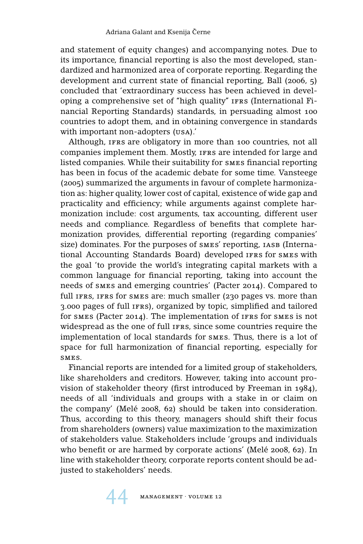and statement of equity changes) and accompanying notes. Due to its importance, financial reporting is also the most developed, standardized and harmonized area of corporate reporting. Regarding the development and current state of financial reporting, Ball (2006, 5) concluded that 'extraordinary success has been achieved in developing a comprehensive set of "high quality" IFRS (International Financial Reporting Standards) standards, in persuading almost 100 countries to adopt them, and in obtaining convergence in standards with important non-adopters (usa).'

Although, IFRS are obligatory in more than 100 countries, not all companies implement them. Mostly, ifrs are intended for large and listed companies. While their suitability for smes financial reporting has been in focus of the academic debate for some time. Vansteege (2005) summarized the arguments in favour of complete harmonization as: higher quality, lower cost of capital, existence of wide gap and practicality and efficiency; while arguments against complete harmonization include: cost arguments, tax accounting, different user needs and compliance. Regardless of benefits that complete harmonization provides, differential reporting (regarding companies' size) dominates. For the purposes of smes' reporting, IASB (International Accounting Standards Board) developed IFRS for SMES with the goal 'to provide the world's integrating capital markets with a common language for financial reporting, taking into account the needs of smes and emerging countries' (Pacter 2014). Compared to full IFRS, IFRS for SMES are: much smaller (230 pages vs. more than 3.000 pages of full ifrs), organized by topic, simplified and tailored for smes (Pacter 2014). The implementation of ifrs for smes is not widespread as the one of full ifrs, since some countries require the implementation of local standards for smes. Thus, there is a lot of space for full harmonization of financial reporting, especially for smes.

Financial reports are intended for a limited group of stakeholders, like shareholders and creditors. However, taking into account provision of stakeholder theory (first introduced by Freeman in 1984), needs of all 'individuals and groups with a stake in or claim on the company' (Melé 2008, 62) should be taken into consideration. Thus, according to this theory, managers should shift their focus from shareholders (owners) value maximization to the maximization of stakeholders value. Stakeholders include 'groups and individuals who benefit or are harmed by corporate actions' (Melé 2008, 62). In line with stakeholder theory, corporate reports content should be adjusted to stakeholders' needs.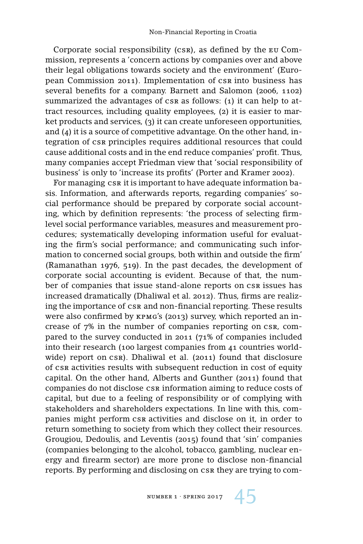Corporate social responsibility (csr), as defined by the eu Commission, represents a 'concern actions by companies over and above their legal obligations towards society and the environment' (European Commission 2011). Implementation of csr into business has several benefits for a company. Barnett and Salomon (2006, 1102) summarized the advantages of csr as follows: (1) it can help to attract resources, including quality employees, (2) it is easier to market products and services, (3) it can create unforeseen opportunities, and (4) it is a source of competitive advantage. On the other hand, integration of csr principles requires additional resources that could cause additional costs and in the end reduce companies' profit. Thus, many companies accept Friedman view that 'social responsibility of business' is only to 'increase its profits' (Porter and Kramer 2002).

For managing csr it is important to have adequate information basis. Information, and afterwards reports, regarding companies' social performance should be prepared by corporate social accounting, which by definition represents: 'the process of selecting firmlevel social performance variables, measures and measurement procedures; systematically developing information useful for evaluating the firm's social performance; and communicating such information to concerned social groups, both within and outside the firm' (Ramanathan 1976, 519). In the past decades, the development of corporate social accounting is evident. Because of that, the number of companies that issue stand-alone reports on csr issues has increased dramatically (Dhaliwal et al. 2012). Thus, firms are realizing the importance of csr and non-financial reporting. These results were also confirmed by kpmg's (2013) survey, which reported an increase of 7% in the number of companies reporting on csr, compared to the survey conducted in 2011 (71% of companies included into their research (100 largest companies from 41 countries worldwide) report on csr). Dhaliwal et al. (2011) found that disclosure of csr activities results with subsequent reduction in cost of equity capital. On the other hand, Alberts and Gunther (2011) found that companies do not disclose csr information aiming to reduce costs of capital, but due to a feeling of responsibility or of complying with stakeholders and shareholders expectations. In line with this, companies might perform csr activities and disclose on it, in order to return something to society from which they collect their resources. Grougiou, Dedoulis, and Leventis (2015) found that 'sin' companies (companies belonging to the alcohol, tobacco, gambling, nuclear energy and firearm sector) are more prone to disclose non-financial reports. By performing and disclosing on csr they are trying to com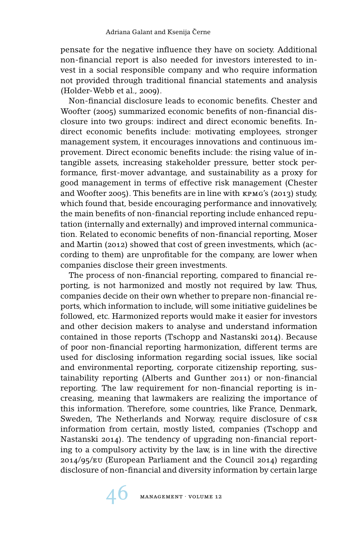pensate for the negative influence they have on society. Additional non-financial report is also needed for investors interested to invest in a social responsible company and who require information not provided through traditional financial statements and analysis (Holder-Webb et al., 2009).

Non-financial disclosure leads to economic benefits. Chester and Woofter (2005) summarized economic benefits of non-financial disclosure into two groups: indirect and direct economic benefits. Indirect economic benefits include: motivating employees, stronger management system, it encourages innovations and continuous improvement. Direct economic benefits include: the rising value of intangible assets, increasing stakeholder pressure, better stock performance, first-mover advantage, and sustainability as a proxy for good management in terms of effective risk management (Chester and Woofter 2005). This benefits are in line with kpmg's (2013) study, which found that, beside encouraging performance and innovatively, the main benefits of non-financial reporting include enhanced reputation (internally and externally) and improved internal communication. Related to economic benefits of non-financial reporting, Moser and Martin (2012) showed that cost of green investments, which (according to them) are unprofitable for the company, are lower when companies disclose their green investments.

The process of non-financial reporting, compared to financial reporting, is not harmonized and mostly not required by law. Thus, companies decide on their own whether to prepare non-financial reports, which information to include, will some initiative guidelines be followed, etc. Harmonized reports would make it easier for investors and other decision makers to analyse and understand information contained in those reports (Tschopp and Nastanski 2014). Because of poor non-financial reporting harmonization, different terms are used for disclosing information regarding social issues, like social and environmental reporting, corporate citizenship reporting, sustainability reporting (Alberts and Gunther 2011) or non-financial reporting. The law requirement for non-financial reporting is increasing, meaning that lawmakers are realizing the importance of this information. Therefore, some countries, like France, Denmark, Sweden, The Netherlands and Norway, require disclosure of csr information from certain, mostly listed, companies (Tschopp and Nastanski 2014). The tendency of upgrading non-financial reporting to a compulsory activity by the law, is in line with the directive 2014/95/eu (European Parliament and the Council 2014) regarding disclosure of non-financial and diversity information by certain large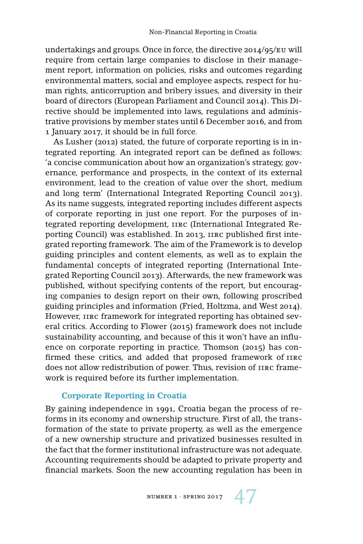undertakings and groups. Once in force, the directive 2014/95/eu will require from certain large companies to disclose in their management report, information on policies, risks and outcomes regarding environmental matters, social and employee aspects, respect for human rights, anticorruption and bribery issues, and diversity in their board of directors (European Parliament and Council 2014). This Directive should be implemented into laws, regulations and administrative provisions by member states until 6 December 2016, and from 1 January 2017, it should be in full force.

As Lusher (2012) stated, the future of corporate reporting is in integrated reporting. An integrated report can be defined as follows: 'a concise communication about how an organization's strategy, governance, performance and prospects, in the context of its external environment, lead to the creation of value over the short, medium and long term' (International Integrated Reporting Council 2013). As its name suggests, integrated reporting includes different aspects of corporate reporting in just one report. For the purposes of integrated reporting development, iirc (International Integrated Reporting Council) was established. In 2013, iirc published first integrated reporting framework. The aim of the Framework is to develop guiding principles and content elements, as well as to explain the fundamental concepts of integrated reporting (International Integrated Reporting Council 2013). Afterwards, the new framework was published, without specifying contents of the report, but encouraging companies to design report on their own, following proscribed guiding principles and information (Fried, Holtzma, and West 2014). However, iirc framework for integrated reporting has obtained several critics. According to Flower (2015) framework does not include sustainability accounting, and because of this it won't have an influence on corporate reporting in practice. Thomson (2015) has confirmed these critics, and added that proposed framework of iirc does not allow redistribution of power. Thus, revision of iirc framework is required before its further implementation.

#### **Corporate Reporting in Croatia**

By gaining independence in 1991, Croatia began the process of reforms in its economy and ownership structure. First of all, the transformation of the state to private property, as well as the emergence of a new ownership structure and privatized businesses resulted in the fact that the former institutional infrastructure was not adequate. Accounting requirements should be adapted to private property and financial markets. Soon the new accounting regulation has been in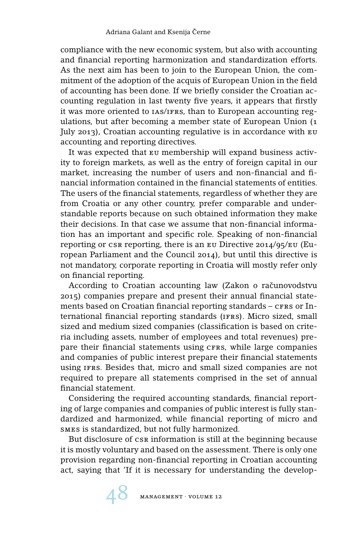compliance with the new economic system, but also with accounting and financial reporting harmonization and standardization efforts. As the next aim has been to join to the European Union, the commitment of the adoption of the acquis of European Union in the field of accounting has been done. If we briefly consider the Croatian accounting regulation in last twenty five years, it appears that firstly it was more oriented to IAS/IFRS, than to European accounting regulations, but after becoming a member state of European Union (1 July 2013), Croatian accounting regulative is in accordance with eu accounting and reporting directives.

It was expected that eu membership will expand business activity to foreign markets, as well as the entry of foreign capital in our market, increasing the number of users and non-financial and financial information contained in the financial statements of entities. The users of the financial statements, regardless of whether they are from Croatia or any other country, prefer comparable and understandable reports because on such obtained information they make their decisions. In that case we assume that non-financial information has an important and specific role. Speaking of non-financial reporting or csr reporting, there is an  $E$  Directive 2014/95/EU (European Parliament and the Council 2014), but until this directive is not mandatory, corporate reporting in Croatia will mostly refer only on financial reporting.

According to Croatian accounting law (Zakon o računovodstvu 2015) companies prepare and present their annual financial statements based on Croatian financial reporting standards - crrs or International financial reporting standards (ifrs). Micro sized, small sized and medium sized companies (classification is based on criteria including assets, number of employees and total revenues) prepare their financial statements using cras, while large companies and companies of public interest prepare their financial statements using ifrs. Besides that, micro and small sized companies are not required to prepare all statements comprised in the set of annual financial statement.

Considering the required accounting standards, financial reporting of large companies and companies of public interest is fully standardized and harmonized, while financial reporting of micro and smes is standardized, but not fully harmonized.

But disclosure of csr information is still at the beginning because it is mostly voluntary and based on the assessment. There is only one provision regarding non-financial reporting in Croatian accounting act, saying that 'If it is necessary for understanding the develop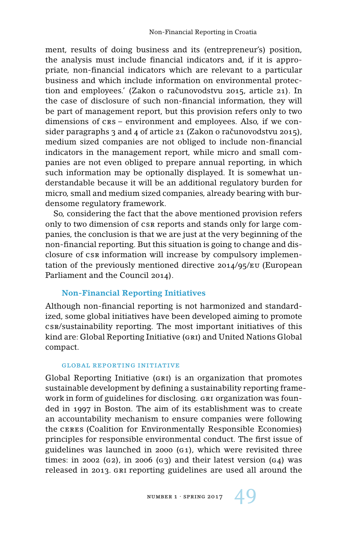ment, results of doing business and its (entrepreneur's) position, the analysis must include financial indicators and, if it is appropriate, non-financial indicators which are relevant to a particular business and which include information on environmental protection and employees.' (Zakon o računovodstvu 2015, article 21). In the case of disclosure of such non-financial information, they will be part of management report, but this provision refers only to two dimensions of crs – environment and employees. Also, if we consider paragraphs  $3$  and  $4$  of article 21 (Zakon o računovodstvu 2015), medium sized companies are not obliged to include non-financial indicators in the management report, while micro and small companies are not even obliged to prepare annual reporting, in which such information may be optionally displayed. It is somewhat understandable because it will be an additional regulatory burden for micro, small and medium sized companies, already bearing with burdensome regulatory framework.

So, considering the fact that the above mentioned provision refers only to two dimension of csr reports and stands only for large companies, the conclusion is that we are just at the very beginning of the non-financial reporting. But this situation is going to change and disclosure of csr information will increase by compulsory implementation of the previously mentioned directive 2014/95/eu (European Parliament and the Council 2014).

## **Non-Financial Reporting Initiatives**

Although non-financial reporting is not harmonized and standardized, some global initiatives have been developed aiming to promote csr/sustainability reporting. The most important initiatives of this kind are: Global Reporting Initiative (gri) and United Nations Global compact.

#### global reporting initiative

Global Reporting Initiative (gri) is an organization that promotes sustainable development by defining a sustainability reporting framework in form of guidelines for disclosing. GRI organization was founded in 1997 in Boston. The aim of its establishment was to create an accountability mechanism to ensure companies were following the ceres (Coalition for Environmentally Responsible Economies) principles for responsible environmental conduct. The first issue of guidelines was launched in 2000 (g1), which were revisited three times: in 2002 (G2), in 2006 (G3) and their latest version (G4) was released in 2013. gri reporting guidelines are used all around the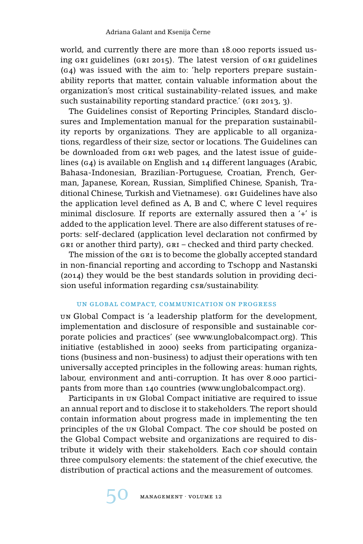world, and currently there are more than 18.000 reports issued using gri guidelines (gri 2015). The latest version of gri guidelines (g4) was issued with the aim to: 'help reporters prepare sustainability reports that matter, contain valuable information about the organization's most critical sustainability-related issues, and make such sustainability reporting standard practice.' (GRI 2013, 3).

The Guidelines consist of Reporting Principles, Standard disclosures and Implementation manual for the preparation sustainability reports by organizations. They are applicable to all organizations, regardless of their size, sector or locations. The Guidelines can be downloaded from gri web pages, and the latest issue of guidelines (g4) is available on English and 14 different languages (Arabic, Bahasa-Indonesian, Brazilian-Portuguese, Croatian, French, German, Japanese, Korean, Russian, Simplified Chinese, Spanish, Traditional Chinese, Turkish and Vietnamese). GRI Guidelines have also the application level defined as A, B and C, where C level requires minimal disclosure. If reports are externally assured then a '+' is added to the application level. There are also different statuses of reports: self-declared (application level declaration not confirmed by gri or another third party), gri – checked and third party checked.

The mission of the gri is to become the globally accepted standard in non-financial reporting and according to Tschopp and Nastanski (2014) they would be the best standards solution in providing decision useful information regarding csr/sustainability.

## un global compact, communication on progress

un Global Compact is 'a leadership platform for the development, implementation and disclosure of responsible and sustainable corporate policies and practices' (see www.unglobalcompact.org). This initiative (established in 2000) seeks from participating organizations (business and non-business) to adjust their operations with ten universally accepted principles in the following areas: human rights, labour, environment and anti-corruption. It has over 8.000 participants from more than 140 countries (www.unglobalcompact.org).

Participants in un Global Compact initiative are required to issue an annual report and to disclose it to stakeholders. The report should contain information about progress made in implementing the ten principles of the un Global Compact. The cop should be posted on the Global Compact website and organizations are required to distribute it widely with their stakeholders. Each cop should contain three compulsory elements: the statement of the chief executive, the distribution of practical actions and the measurement of outcomes.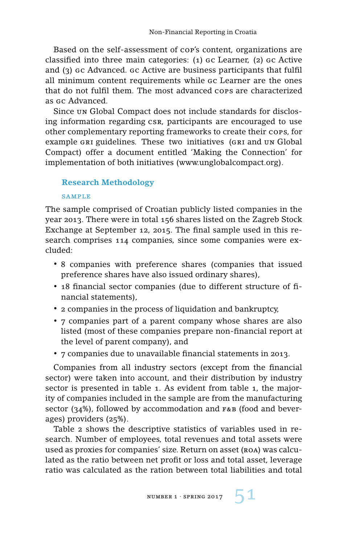Based on the self-assessment of cop's content, organizations are classified into three main categories: (1) gc Learner, (2) gc Active and (3) gc Advanced. gc Active are business participants that fulfil all minimum content requirements while gc Learner are the ones that do not fulfil them. The most advanced cops are characterized as gc Advanced.

Since un Global Compact does not include standards for disclosing information regarding csr, participants are encouraged to use other complementary reporting frameworks to create their cops, for example GRI guidelines. These two initiatives (GRI and UN Global Compact) offer a document entitled 'Making the Connection' for implementation of both initiatives (www.unglobalcompact.org).

## **Research Methodology**

#### sample

The sample comprised of Croatian publicly listed companies in the year 2013. There were in total 156 shares listed on the Zagreb Stock Exchange at September 12, 2015. The final sample used in this research comprises 114 companies, since some companies were excluded:

- 8 companies with preference shares (companies that issued preference shares have also issued ordinary shares),
- 18 financial sector companies (due to different structure of financial statements),
- 2 companies in the process of liquidation and bankruptcy,
- 7 companies part of a parent company whose shares are also listed (most of these companies prepare non-financial report at the level of parent company), and
- 7 companies due to unavailable financial statements in 2013.

Companies from all industry sectors (except from the financial sector) were taken into account, and their distribution by industry sector is presented in table 1. As evident from table 1, the majority of companies included in the sample are from the manufacturing sector (34%), followed by accommodation and  $F$ &B (food and beverages) providers (25%).

Table 2 shows the descriptive statistics of variables used in research. Number of employees, total revenues and total assets were used as proxies for companies' size. Return on asset (ROA) was calculated as the ratio between net profit or loss and total asset, leverage ratio was calculated as the ration between total liabilities and total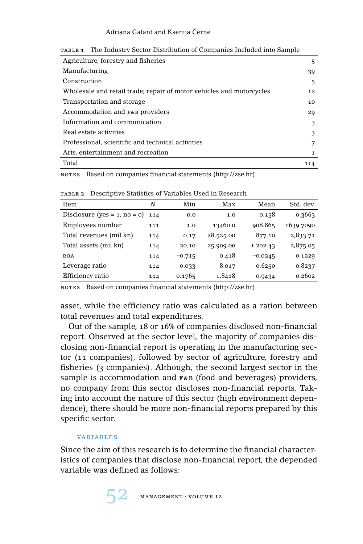#### Adriana Galant and Ksenija Černe

| 5            |
|--------------|
| 39           |
| 5            |
| 12           |
| 10           |
| 29           |
| 3            |
| 3            |
| 7            |
| $\mathbf{1}$ |
| 114          |
|              |

table 1 The Industry Sector Distribution of Companies Included into Sample

NOTES Based on companies financial statements (http://zse.hr).

Item *N* Min Max Mean Std. dev. Disclosure (yes = 1, no = 0) 114 0.0 1.0 0.158 0.3663 Employees number 111 1.0 13460.0 908.865 1639.7090 Total revenues (mil kn) 114 0.17 28,525.00 877.10 2,833.71 Total assets (mil kn) 114 20.10 25,909.00 1.202.43 2,875.05  $ROA$  114 -0.715 0.418 -0.0245 0.1229 Leverage ratio 114 0.033 8.017 0.6250 0.8237 Efficiency ratio 114 0.1765 1.8418 0.9434 0.2602

table 2 Descriptive Statistics of Variables Used in Research

NOTES Based on companies financial statements (http://zse.hr).

asset, while the efficiency ratio was calculated as a ration between total revenues and total expenditures.

Out of the sample, 18 or 16% of companies disclosed non-financial report. Observed at the sector level, the majority of companies disclosing non-financial report is operating in the manufacturing sector (11 companies), followed by sector of agriculture, forestry and fisheries (3 companies). Although, the second largest sector in the sample is accommodation and  $F&B$  (food and beverages) providers, no company from this sector discloses non-financial reports. Taking into account the nature of this sector (high environment dependence), there should be more non-financial reports prepared by this specific sector.

## variables

Since the aim of this research is to determine the financial characteristics of companies that disclose non-financial report, the depended variable was defined as follows: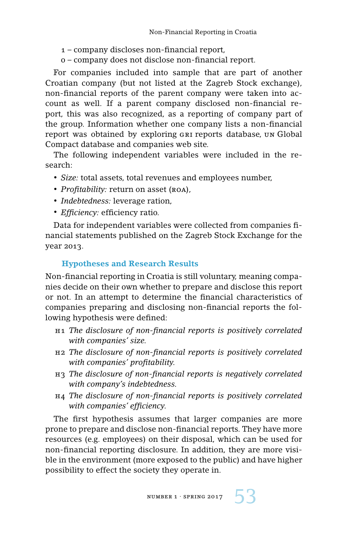- 1 company discloses non-financial report,
- 0 company does not disclose non-financial report.

For companies included into sample that are part of another Croatian company (but not listed at the Zagreb Stock exchange), non-financial reports of the parent company were taken into account as well. If a parent company disclosed non-financial report, this was also recognized, as a reporting of company part of the group. Information whether one company lists a non-financial report was obtained by exploring GRI reports database, un Global Compact database and companies web site.

The following independent variables were included in the research:

- *Size:* total assets, total revenues and employees number,
- *Profitability:* return on asset (ROA),
- *Indebtedness:* leverage ration,
- *Efficiency:* efficiency ratio.

Data for independent variables were collected from companies financial statements published on the Zagreb Stock Exchange for the year 2013.

## **Hypotheses and Research Results**

Non-financial reporting in Croatia is still voluntary, meaning companies decide on their own whether to prepare and disclose this report or not. In an attempt to determine the financial characteristics of companies preparing and disclosing non-financial reports the following hypothesis were defined:

- h1 *The disclosure of non-financial reports is positively correlated with companies' size.*
- h2 *The disclosure of non-financial reports is positively correlated with companies' profitability.*
- h3 *The disclosure of non-financial reports is negatively correlated with company's indebtedness.*
- h4 *The disclosure of non-financial reports is positively correlated with companies' efficiency.*

The first hypothesis assumes that larger companies are more prone to prepare and disclose non-financial reports. They have more resources (e.g. employees) on their disposal, which can be used for non-financial reporting disclosure. In addition, they are more visible in the environment (more exposed to the public) and have higher possibility to effect the society they operate in.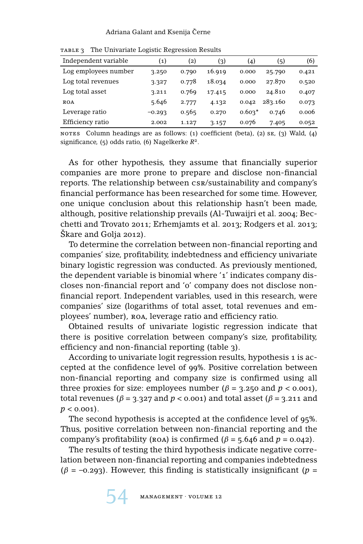#### Adriana Galant and Ksenija Černe

| Independent variable | $\left( 1\right)$ | $\left( 2\right)$ | (3)    | (4)      | (5)     | (6)   |
|----------------------|-------------------|-------------------|--------|----------|---------|-------|
| Log employees number | 3.250             | 0.790             | 16.919 | 0.000    | 25.790  | 0.421 |
| Log total revenues   | 3.327             | 0.778             | 18.034 | 0.000    | 27.870  | 0.520 |
| Log total asset      | 3.211             | 0.769             | 17.415 | 0.000    | 24.810  | 0.407 |
| <b>ROA</b>           | 5.646             | 2.777             | 4.132  | 0.042    | 283.160 | 0.073 |
| Leverage ratio       | $-0.293$          | 0.565             | 0.270  | $0.603*$ | 0.746   | 0.006 |
| Efficiency ratio     | 2.002             | 1.127             | 3.157  | 0.076    | 7.405   | 0.052 |
|                      |                   |                   |        |          |         |       |

table 3 The Univariate Logistic Regression Results

NOTES Column headings are as follows:  $(1)$  coefficient (beta),  $(2)$  se,  $(3)$  Wald,  $(4)$ significance, (5) odds ratio, (6) Nagelkerke *R*2.

As for other hypothesis, they assume that financially superior companies are more prone to prepare and disclose non-financial reports. The relationship between csr/sustainability and company's financial performance has been researched for some time. However, one unique conclusion about this relationship hasn't been made, although, positive relationship prevails (Al-Tuwaijri et al. 2004; Becchetti and Trovato 2011; Erhemjamts et al. 2013; Rodgers et al. 2013; Škare and Golja 2012).

To determine the correlation between non-financial reporting and companies' size, profitability, indebtedness and efficiency univariate binary logistic regression was conducted. As previously mentioned, the dependent variable is binomial where '1' indicates company discloses non-financial report and '0' company does not disclose nonfinancial report. Independent variables, used in this research, were companies' size (logarithms of total asset, total revenues and employees' number), roa, leverage ratio and efficiency ratio.

Obtained results of univariate logistic regression indicate that there is positive correlation between company's size, profitability, efficiency and non-financial reporting (table 3).

According to univariate logit regression results, hypothesis 1 is accepted at the confidence level of 99%. Positive correlation between non-financial reporting and company size is confirmed using all three proxies for size: employees number ( $\beta$  = 3.250 and  $p$  < 0.001), total revenues ( $\beta$  = 3.327 and  $p$  < 0.001) and total asset ( $\beta$  = 3.211 and  $p < 0.001$ ).

The second hypothesis is accepted at the confidence level of 95%. Thus, positive correlation between non-financial reporting and the company's profitability (ROA) is confirmed ( $β = 5.646$  and  $p = 0.042$ ).

The results of testing the third hypothesis indicate negative correlation between non-financial reporting and companies indebtedness ( $\beta$  = –0.293). However, this finding is statistically insignificant ( $p$  =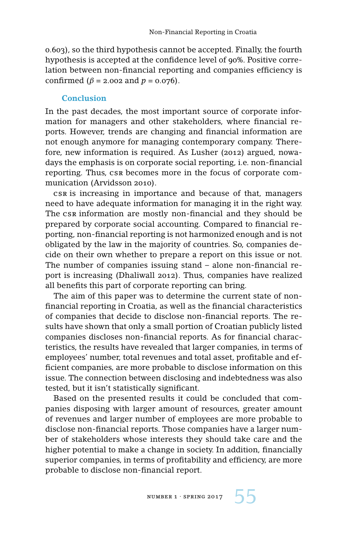0.603), so the third hypothesis cannot be accepted. Finally, the fourth hypothesis is accepted at the confidence level of 90%. Positive correlation between non-financial reporting and companies efficiency is confirmed ( $β = 2.002$  and  $p = 0.076$ ).

### **Conclusion**

In the past decades, the most important source of corporate information for managers and other stakeholders, where financial reports. However, trends are changing and financial information are not enough anymore for managing contemporary company. Therefore, new information is required. As Lusher (2012) argued, nowadays the emphasis is on corporate social reporting, i.e. non-financial reporting. Thus, csr becomes more in the focus of corporate communication (Arvidsson 2010).

csr is increasing in importance and because of that, managers need to have adequate information for managing it in the right way. The csr information are mostly non-financial and they should be prepared by corporate social accounting. Compared to financial reporting, non-financial reporting is not harmonized enough and is not obligated by the law in the majority of countries. So, companies decide on their own whether to prepare a report on this issue or not. The number of companies issuing stand – alone non-financial report is increasing (Dhaliwall 2012). Thus, companies have realized all benefits this part of corporate reporting can bring.

The aim of this paper was to determine the current state of nonfinancial reporting in Croatia, as well as the financial characteristics of companies that decide to disclose non-financial reports. The results have shown that only a small portion of Croatian publicly listed companies discloses non-financial reports. As for financial characteristics, the results have revealed that larger companies, in terms of employees' number, total revenues and total asset, profitable and efficient companies, are more probable to disclose information on this issue. The connection between disclosing and indebtedness was also tested, but it isn't statistically significant.

Based on the presented results it could be concluded that companies disposing with larger amount of resources, greater amount of revenues and larger number of employees are more probable to disclose non-financial reports. Those companies have a larger number of stakeholders whose interests they should take care and the higher potential to make a change in society. In addition, financially superior companies, in terms of profitability and efficiency, are more probable to disclose non-financial report.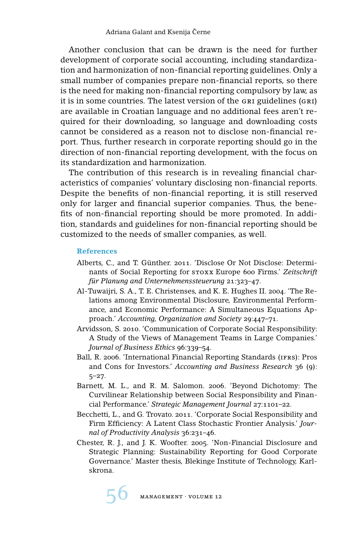Another conclusion that can be drawn is the need for further development of corporate social accounting, including standardization and harmonization of non-financial reporting guidelines. Only a small number of companies prepare non-financial reports, so there is the need for making non-financial reporting compulsory by law, as it is in some countries. The latest version of the GRI guidelines (GRI) are available in Croatian language and no additional fees aren't required for their downloading, so language and downloading costs cannot be considered as a reason not to disclose non-financial report. Thus, further research in corporate reporting should go in the direction of non-financial reporting development, with the focus on its standardization and harmonization.

The contribution of this research is in revealing financial characteristics of companies' voluntary disclosing non-financial reports. Despite the benefits of non-financial reporting, it is still reserved only for larger and financial superior companies. Thus, the benefits of non-financial reporting should be more promoted. In addition, standards and guidelines for non-financial reporting should be customized to the needs of smaller companies, as well.

#### **References**

- Alberts, C., and T. Günther. 2011. 'Disclose Or Not Disclose: Determinants of Social Reporting for stoxx Europe 600 Firms.' *Zeitschrift für Planung and Unternehmenssteuerung* 21:323–47.
- Al-Tuwaijri, S. A., T. E. Christenses, and K. E. Hughes II. 2004. 'The Relations among Environmental Disclosure, Environmental Performance, and Economic Performance: A Simultaneous Equations Approach.' *Accounting, Organization and Society* 29:447–71.
- Arvidsson, S. 2010. 'Communication of Corporate Social Responsibility: A Study of the Views of Management Teams in Large Companies.' *Journal of Business Ethics* 96:339–54.
- Ball, R. 2006. 'International Financial Reporting Standards (ifrs): Pros and Cons for Investors.' *Accounting and Business Research* 36 (9): 5–27.
- Barnett, M. L., and R. M. Salomon. 2006. 'Beyond Dichotomy: The Curvilinear Relationship between Social Responsibility and Financial Performance.' *Strategic Management Journal* 27:1101–22.
- Becchetti, L., and G. Trovato. 2011. 'Corporate Social Responsibility and Firm Efficiency: A Latent Class Stochastic Frontier Analysis.' *Journal of Productivity Analysis* 36:231–46.
- Chester, R. J., and J. K. Woofter. 2005. 'Non-Financial Disclosure and Strategic Planning: Sustainability Reporting for Good Corporate Governance.' Master thesis, Blekinge Institute of Technology, Karlskrona.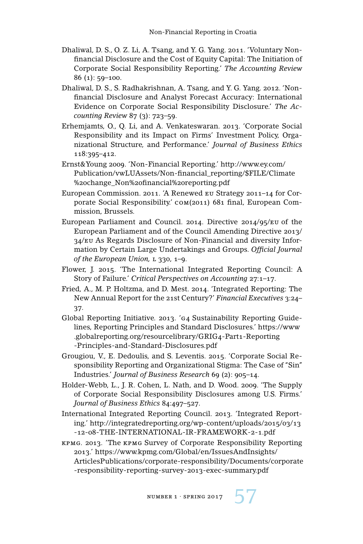- Dhaliwal, D. S., O. Z. Li, A. Tsang, and Y. G. Yang. 2011. 'Voluntary Nonfinancial Disclosure and the Cost of Equity Capital: The Initiation of Corporate Social Responsibility Reporting.' *The Accounting Review* 86 (1): 59–100.
- Dhaliwal, D. S., S. Radhakrishnan, A. Tsang, and Y. G. Yang. 2012. 'Nonfinancial Disclosure and Analyst Forecast Accuracy: International Evidence on Corporate Social Responsibility Disclosure.' *The Accounting Review* 87 (3): 723–59.
- Erhemjamts, O., Q. Li, and A. Venkateswaran. 2013. 'Corporate Social Responsibility and its Impact on Firms' Investment Policy, Organizational Structure, and Performance.' *Journal of Business Ethics* 118:395–412.
- Ernst&Young 2009. 'Non-Financial Reporting.' http://www.ey.com/ Publication/vwLUAssets/Non-financial\_reporting/\$FILE/Climate %20change\_Non%20financial%20reporting.pdf
- European Commission. 2011. 'A Renewed eu Strategy 2011–14 for Corporate Social Responsibility.' com(2011) 681 final, European Commission, Brussels.
- European Parliament and Council. 2014. Directive 2014/95/eu of the European Parliament and of the Council Amending Directive 2013/ 34/eu As Regards Disclosure of Non-Financial and diversity Information by Certain Large Undertakings and Groups. *Official Journal* of the European Union, L 330, 1-9.
- Flower, J. 2015. 'The International Integrated Reporting Council: A Story of Failure.' *Critical Perspectives on Accounting* 27:1–17.
- Fried, A., M. P. Holtzma, and D. Mest. 2014. 'Integrated Reporting: The New Annual Report for the 21st Century?' *Financial Executives* 3:24– 37.
- Global Reporting Initiative. 2013. 'g4 Sustainability Reporting Guidelines, Reporting Principles and Standard Disclosures.' https://www .globalreporting.org/resourcelibrary/GRIG4-Part1-Reporting -Principles-and-Standard-Disclosures.pdf
- Grougiou, V., E. Dedoulis, and S. Leventis. 2015. 'Corporate Social Responsibility Reporting and Organizational Stigma: The Case of "Sin" Industries.' *Journal of Business Research* 69 (2): 905–14.
- Holder-Webb, L., J. R. Cohen, L. Nath, and D. Wood. 2009. 'The Supply of Corporate Social Responsibility Disclosures among U.S. Firms.' *Journal of Business Ethics* 84:497–527.
- International Integrated Reporting Council. 2013. 'Integrated Reporting.' http://integratedreporting.org/wp-content/uploads/2015/03/13 -12-08-THE-INTERNATIONAL-IR-FRAMEWORK-2-1.pdf
- kpmg. 2013. 'The kpmg Survey of Corporate Responsibility Reporting 2013.' https://www.kpmg.com/Global/en/IssuesAndInsights/ ArticlesPublications/corporate-responsibility/Documents/corporate -responsibility-reporting-survey-2013-exec-summary.pdf